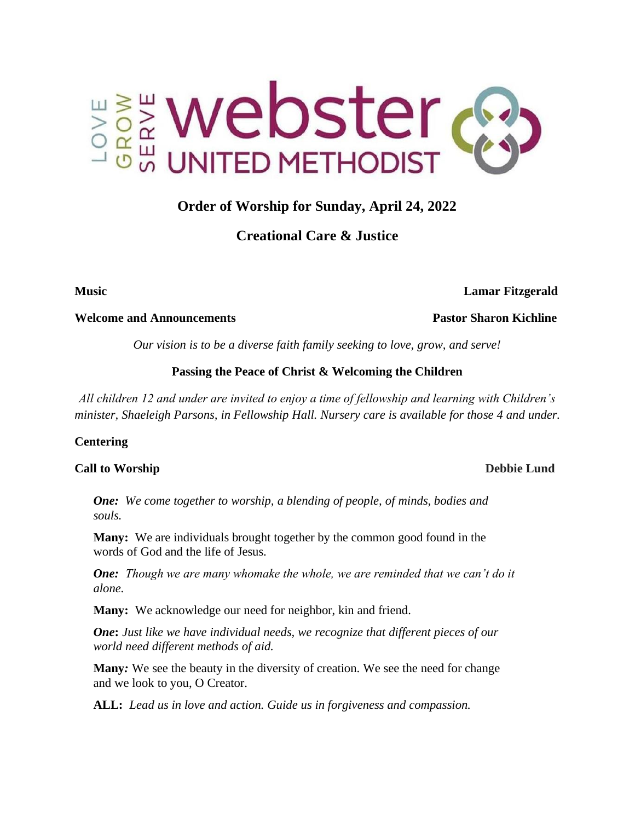

# **Order of Worship for Sunday, April 24, 2022**

## **Creational Care & Justice**

**Music Lamar Fitzgerald** 

#### **Welcome and Announcements Pastor Sharon Kichline**

*Our vision is to be a diverse faith family seeking to love, grow, and serve!*

## **Passing the Peace of Christ & Welcoming the Children**

*All children 12 and under are invited to enjoy a time of fellowship and learning with Children's minister, Shaeleigh Parsons, in Fellowship Hall. Nursery care is available for those 4 and under.* 

#### **Centering**

## **Call to Worship Debbie Lund**

*One: We come together to worship, a blending of people, of minds, bodies and souls.*

**Many:** We are individuals brought together by the common good found in the words of God and the life of Jesus.

*One: Though we are many whomake the whole, we are reminded that we can't do it alone.*

**Many:** We acknowledge our need for neighbor, kin and friend.

*One***:** *Just like we have individual needs, we recognize that different pieces of our world need different methods of aid.* 

**Many***:* We see the beauty in the diversity of creation. We see the need for change and we look to you, O Creator.

**ALL:** *Lead us in love and action. Guide us in forgiveness and compassion.*